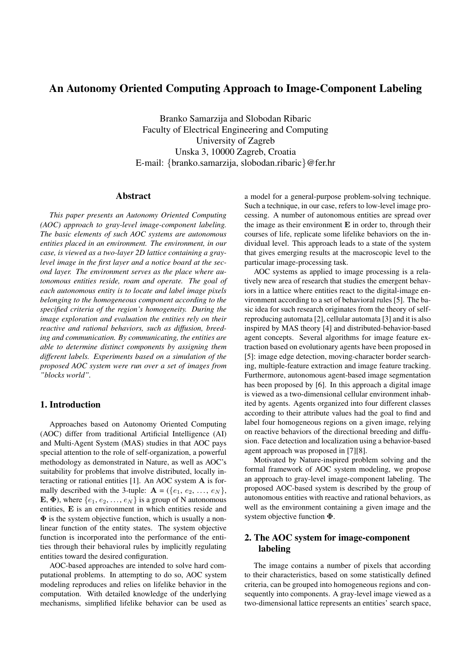# An Autonomy Oriented Computing Approach to Image-Component Labeling

Branko Samarzija and Slobodan Ribaric Faculty of Electrical Engineering and Computing University of Zagreb Unska 3, 10000 Zagreb, Croatia E-mail: {branko.samarzija, slobodan.ribaric}@fer.hr

### Abstract

*This paper presents an Autonomy Oriented Computing (AOC) approach to gray-level image-component labeling. The basic elements of such AOC systems are autonomous entities placed in an environment. The environment, in our case, is viewed as a two-layer 2D lattice containing a graylevel image in the first layer and a notice board at the second layer. The environment serves as the place where autonomous entities reside, roam and operate. The goal of each autonomous entity is to locate and label image pixels belonging to the homogeneous component according to the specified criteria of the region's homogeneity. During the image exploration and evaluation the entities rely on their reactive and rational behaviors, such as diffusion, breeding and communication. By communicating, the entities are able to determine distinct components by assigning them different labels. Experiments based on a simulation of the proposed AOC system were run over a set of images from "blocks world".*

## 1. Introduction

Approaches based on Autonomy Oriented Computing (AOC) differ from traditional Artificial Intelligence (AI) and Multi-Agent System (MAS) studies in that AOC pays special attention to the role of self-organization, a powerful methodology as demonstrated in Nature, as well as AOC's suitability for problems that involve distributed, locally interacting or rational entities [1]. An AOC system A is formally described with the 3-tuple:  $\mathbf{A} = (\{e_1, e_2, \ldots, e_N\},\)$ E,  $\Phi$ ), where  $\{e_1, e_2, \ldots, e_N\}$  is a group of N autonomous entities, E is an environment in which entities reside and  $\Phi$  is the system objective function, which is usually a nonlinear function of the entity states. The system objective function is incorporated into the performance of the entities through their behavioral rules by implicitly regulating entities toward the desired configuration.

AOC-based approaches are intended to solve hard computational problems. In attempting to do so, AOC system modeling reproduces and relies on lifelike behavior in the computation. With detailed knowledge of the underlying mechanisms, simplified lifelike behavior can be used as a model for a general-purpose problem-solving technique. Such a technique, in our case, refers to low-level image processing. A number of autonomous entities are spread over the image as their environment  $E$  in order to, through their courses of life, replicate some lifelike behaviors on the individual level. This approach leads to a state of the system that gives emerging results at the macroscopic level to the particular image-processing task.

AOC systems as applied to image processing is a relatively new area of research that studies the emergent behaviors in a lattice where entities react to the digital-image environment according to a set of behavioral rules [5]. The basic idea for such research originates from the theory of selfreproducing automata [2], cellular automata [3] and it is also inspired by MAS theory [4] and distributed-behavior-based agent concepts. Several algorithms for image feature extraction based on evolutionary agents have been proposed in [5]: image edge detection, moving-character border searching, multiple-feature extraction and image feature tracking. Furthermore, autonomous agent-based image segmentation has been proposed by [6]. In this approach a digital image is viewed as a two-dimensional cellular environment inhabited by agents. Agents organized into four different classes according to their attribute values had the goal to find and label four homogeneous regions on a given image, relying on reactive behaviors of the directional breeding and diffusion. Face detection and localization using a behavior-based agent approach was proposed in [7][8].

Motivated by Nature-inspired problem solving and the formal framework of AOC system modeling, we propose an approach to gray-level image-component labeling. The proposed AOC-based system is described by the group of autonomous entities with reactive and rational behaviors, as well as the environment containing a given image and the system objective function Φ.

## 2. The AOC system for image-component labeling

The image contains a number of pixels that according to their characteristics, based on some statistically defined criteria, can be grouped into homogeneous regions and consequently into components. A gray-level image viewed as a two-dimensional lattice represents an entities' search space,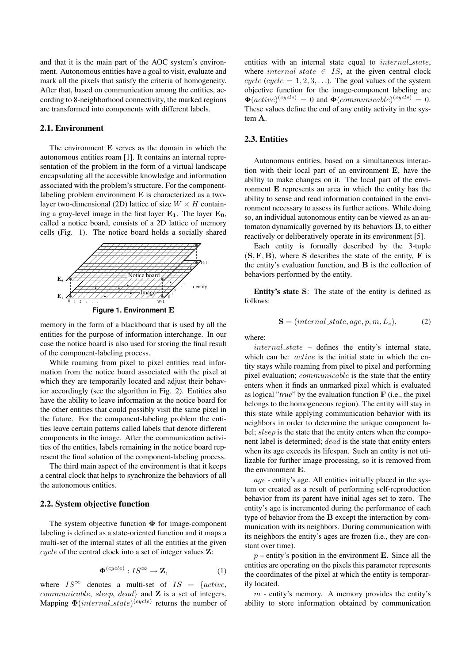and that it is the main part of the AOC system's environment. Autonomous entities have a goal to visit, evaluate and mark all the pixels that satisfy the criteria of homogeneity. After that, based on communication among the entities, according to 8-neighborhood connectivity, the marked regions are transformed into components with different labels.

#### 2.1. Environment

The environment E serves as the domain in which the autonomous entities roam [1]. It contains an internal representation of the problem in the form of a virtual landscape encapsulating all the accessible knowledge and information associated with the problem's structure. For the componentlabeling problem environment E is characterized as a twolayer two-dimensional (2D) lattice of size  $W \times H$  containing a gray-level image in the first layer  $E_1$ . The layer  $E_0$ , called a notice board, consists of a 2D lattice of memory cells (Fig. 1). The notice board holds a socially shared



**Figure 1. Environment** E

memory in the form of a blackboard that is used by all the entities for the purpose of information interchange. In our case the notice board is also used for storing the final result of the component-labeling process.

While roaming from pixel to pixel entities read information from the notice board associated with the pixel at which they are temporarily located and adjust their behavior accordingly (see the algorithm in Fig. 2). Entities also have the ability to leave information at the notice board for the other entities that could possibly visit the same pixel in the future. For the component-labeling problem the entities leave certain patterns called labels that denote different components in the image. After the communication activities of the entities, labels remaining in the notice board represent the final solution of the component-labeling process.

The third main aspect of the environment is that it keeps a central clock that helps to synchronize the behaviors of all the autonomous entities.

#### 2.2. System objective function

The system objective function  $\Phi$  for image-component labeling is defined as a state-oriented function and it maps a multi-set of the internal states of all the entities at the given cycle of the central clock into a set of integer values Z:

$$
\mathbf{\Phi}^{(cycle)} : IS^{\infty} \to \mathbf{Z},\tag{1}
$$

where  $IS^{\infty}$  denotes a multi-set of  $IS = \{active,$ communicable, sleep, dead} and Z is a set of integers. Mapping  $\Phi(internal\_state)^{(cycle)}$  returns the number of

entities with an internal state equal to *internal state*, where  $internal\_state \in IS$ , at the given central clock cycle (cycle =  $1, 2, 3, \ldots$ ). The goal values of the system objective function for the image-component labeling are  $\mathbf{\Phi}(active)^{(cycle)} = 0$  and  $\mathbf{\Phi}(communicable)^{(cycle)} = 0$ . These values define the end of any entity activity in the system A.

### 2.3. Entities

Autonomous entities, based on a simultaneous interaction with their local part of an environment E, have the ability to make changes on it. The local part of the environment E represents an area in which the entity has the ability to sense and read information contained in the environment necessary to assess its further actions. While doing so, an individual autonomous entity can be viewed as an automaton dynamically governed by its behaviors B, to either reactively or deliberatively operate in its environment [5].

Each entity is formally described by the 3-tuple  $(S, F, B)$ , where S describes the state of the entity, F is the entity's evaluation function, and B is the collection of behaviors performed by the entity.

Entity's state S: The state of the entity is defined as follows:

$$
\mathbf{S} = (internal\_state, age, p, m, L_s), \tag{2}
$$

where:

internal\_state – defines the entity's internal state, which can be: *active* is the initial state in which the entity stays while roaming from pixel to pixel and performing pixel evaluation; communicable is the state that the entity enters when it finds an unmarked pixel which is evaluated as logical "*true*" by the evaluation function F (i.e., the pixel belongs to the homogeneous region). The entity will stay in this state while applying communication behavior with its neighbors in order to determine the unique component label; sleep is the state that the entity enters when the component label is determined; dead is the state that entity enters when its age exceeds its lifespan. Such an entity is not utilizable for further image processing, so it is removed from the environment E.

age - entity's age. All entities initially placed in the system or created as a result of performing self-reproduction behavior from its parent have initial ages set to zero. The entity's age is incremented during the performance of each type of behavior from the B except the interaction by communication with its neighbors. During communication with its neighbors the entity's ages are frozen (i.e., they are constant over time).

 $p$  – entity's position in the environment **E**. Since all the entities are operating on the pixels this parameter represents the coordinates of the pixel at which the entity is temporarily located.

 $m$  - entity's memory. A memory provides the entity's ability to store information obtained by communication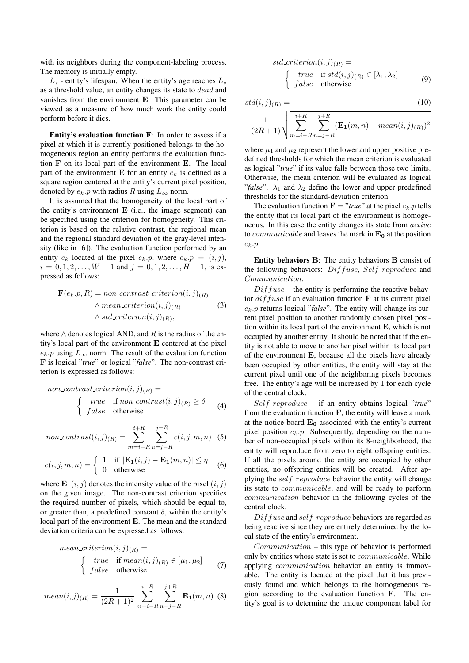with its neighbors during the component-labeling process. The memory is initially empty.

 $L<sub>s</sub>$  - entity's lifespan. When the entity's age reaches  $L<sub>s</sub>$ as a threshold value, an entity changes its state to dead and vanishes from the environment E. This parameter can be viewed as a measure of how much work the entity could perform before it dies.

Entity's evaluation function F: In order to assess if a pixel at which it is currently positioned belongs to the homogeneous region an entity performs the evaluation function F on its local part of the environment E. The local part of the environment E for an entity  $e_k$  is defined as a square region centered at the entity's current pixel position, denoted by  $e_k.p$  with radius R using  $L_{\infty}$  norm.

It is assumed that the homogeneity of the local part of the entity's environment  $E$  (i.e., the image segment) can be specified using the criterion for homogeneity. This criterion is based on the relative contrast, the regional mean and the regional standard deviation of the gray-level intensity (like in [6]). The evaluation function performed by an entity  $e_k$  located at the pixel  $e_k \cdot p$ , where  $e_k \cdot p = (i, j)$ ,  $i = 0, 1, 2, \ldots, W - 1$  and  $j = 0, 1, 2, \ldots, H - 1$ , is expressed as follows:

$$
\mathbf{F}(e_k.p, R) = non_{contrast\_criterion(i, j)_{(R)}} \wedge mean_{criterion(i, j)_{(R)}} \qquad (3)
$$

$$
\wedge std_criterion(i, j)_{(R)},
$$

where  $\wedge$  denotes logical AND, and R is the radius of the entity's local part of the environment E centered at the pixel  $e_k$ .p using  $L_{\infty}$  norm. The result of the evaluation function F is logical "*true*" or logical "*false*". The non-contrast criterion is expressed as follows:

non-contrast-criterion(i, j)<sub>(R)</sub> =  
\n
$$
\begin{cases}\n \text{true} & \text{if non-contrast}(i, j)_{(R)} \ge \delta \\
 \text{false} & \text{otherwise}\n \end{cases}
$$
\n(4)

$$
non_{\text{1}}\text{contract}(i,j)_{(R)} = \sum_{m=i-R}^{i+R} \sum_{n=j-R}^{j+R} c(i,j,m,n) \quad (5)
$$

$$
c(i,j,m,n) = \begin{cases} 1 & \text{if } |\mathbf{E_1}(i,j) - \mathbf{E_1}(m,n)| \le \eta \\ 0 & \text{otherwise} \end{cases}
$$
(6)

where  $\mathbf{E_1}(i, j)$  denotes the intensity value of the pixel  $(i, j)$ on the given image. The non-contrast criterion specifies the required number of pixels, which should be equal to, or greater than, a predefined constant  $\delta$ , within the entity's local part of the environment E. The mean and the standard deviation criteria can be expressed as follows:

mean-criterion(i, j)<sub>(R)</sub> =  
\n
$$
\begin{cases}\n \text{true} & \text{if mean}(i, j)_{(R)} \in [\mu_1, \mu_2] \\
 \text{false} & \text{otherwise}\n \end{cases}
$$
\n(7)

mean
$$
(i, j)_{(R)} = \frac{1}{(2R+1)^2} \sum_{m=i-R}^{i+R} \sum_{n=j-R}^{j+R} \mathbf{E_1}(m, n)
$$
 (8)

$$
std\_criterion(i, j)_{(R)} =
$$
\n
$$
\begin{cases}\ntrue & \text{if } std(i, j)_{(R)} \in [\lambda_1, \lambda_2] \\
false & \text{otherwise}\n\end{cases}
$$
\n(9)

$$
std(i,j)_{(R)} = (10)
$$

$$
\frac{1}{(2R+1)}\sqrt{\sum_{m=i-R}^{i+R}\sum_{n=j-R}^{j+R}(\mathbf{E_1}(m,n)-mean(i,j)_{(R)})^2}
$$

where  $\mu_1$  and  $\mu_2$  represent the lower and upper positive predefined thresholds for which the mean criterion is evaluated as logical "*true*" if its value falls between those two limits. Otherwise, the mean criterion will be evaluated as logical "*false*".  $\lambda_1$  and  $\lambda_2$  define the lower and upper predefined thresholds for the standard-deviation criterion.

The evaluation function  $\mathbf{F} = "true"$  at the pixel  $e_k$ .p tells the entity that its local part of the environment is homogeneous. In this case the entity changes its state from active to *communicable* and leaves the mark in  $E_0$  at the position  $e_k.p.$ 

Entity behaviors B: The entity behaviors B consist of the following behaviors:  $Diffuse, Self\_reproduce$  and Communication.

 $Dif fuse$  – the entity is performing the reactive behavior  $diffuse$  if an evaluation function  $\bf{F}$  at its current pixel ek.p returns logical "*false*". The entity will change its current pixel position to another randomly chosen pixel position within its local part of the environment E, which is not occupied by another entity. It should be noted that if the entity is not able to move to another pixel within its local part of the environment E, because all the pixels have already been occupied by other entities, the entity will stay at the current pixel until one of the neighboring pixels becomes free. The entity's age will be increased by 1 for each cycle of the central clock.

Self reproduce – if an entity obtains logical "*true*" from the evaluation function  $\bf{F}$ , the entity will leave a mark at the notice board  $E_0$  associated with the entity's current pixel position  $e_k.p$ . Subsequently, depending on the number of non-occupied pixels within its 8-neighborhood, the entity will reproduce from zero to eight offspring entities. If all the pixels around the entity are occupied by other entities, no offspring entities will be created. After applying the self-reproduce behavior the entity will change its state to communicable, and will be ready to perform communication behavior in the following cycles of the central clock.

 $Diffuse$  and self-reproduce behaviors are regarded as being reactive since they are entirely determined by the local state of the entity's environment.

Communication – this type of behavior is performed only by entities whose state is set to communicable. While applying *communication* behavior an entity is immovable. The entity is located at the pixel that it has previously found and which belongs to the homogeneous region according to the evaluation function F. The entity's goal is to determine the unique component label for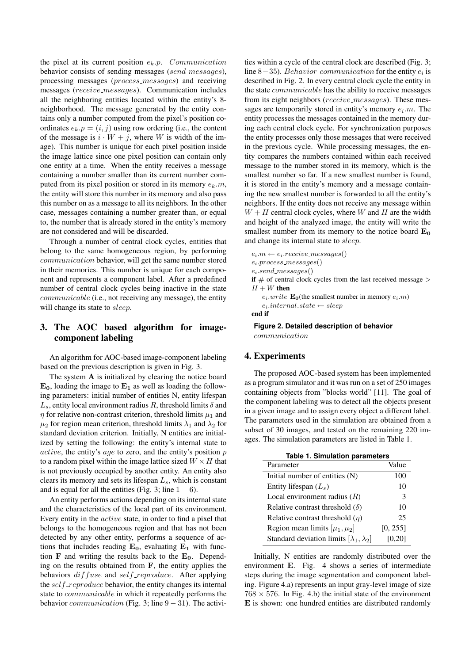the pixel at its current position  $e_k.p.$  Communication behavior consists of sending messages (send\_messages), processing messages (process messages) and receiving messages (receive messages). Communication includes all the neighboring entities located within the entity's 8 neighborhood. The message generated by the entity contains only a number computed from the pixel's position coordinates  $e_k$ . $p = (i, j)$  using row ordering (i.e., the content of the message is  $i \cdot W + j$ , where W is width of the image). This number is unique for each pixel position inside the image lattice since one pixel position can contain only one entity at a time. When the entity receives a message containing a number smaller than its current number computed from its pixel position or stored in its memory  $e_k \cdot m$ , the entity will store this number in its memory and also pass this number on as a message to all its neighbors. In the other case, messages containing a number greater than, or equal to, the number that is already stored in the entity's memory are not considered and will be discarded.

Through a number of central clock cycles, entities that belong to the same homogeneous region, by performing communication behavior, will get the same number stored in their memories. This number is unique for each component and represents a component label. After a predefined number of central clock cycles being inactive in the state communicable (i.e., not receiving any message), the entity will change its state to *sleep*.

# 3. The AOC based algorithm for imagecomponent labeling

An algorithm for AOC-based image-component labeling based on the previous description is given in Fig. 3.

The system A is initialized by clearing the notice board  $E_0$ , loading the image to  $E_1$  as well as loading the following parameters: initial number of entities N, entity lifespan  $L_s$ , entity local environment radius R, threshold limits  $\delta$  and  $\eta$  for relative non-contrast criterion, threshold limits  $\mu_1$  and  $\mu_2$  for region mean criterion, threshold limits  $\lambda_1$  and  $\lambda_2$  for standard deviation criterion. Initially, N entities are initialized by setting the following: the entity's internal state to active, the entity's age to zero, and the entity's position  $p$ to a random pixel within the image lattice sized  $W \times H$  that is not previously occupied by another entity. An entity also clears its memory and sets its lifespan  $L_s$ , which is constant and is equal for all the entities (Fig. 3; line  $1 - 6$ ).

An entity performs actions depending on its internal state and the characteristics of the local part of its environment. Every entity in the active state, in order to find a pixel that belongs to the homogeneous region and that has not been detected by any other entity, performs a sequence of actions that includes reading  $E_0$ , evaluating  $E_1$  with function F and writing the results back to the  $E_0$ . Depending on the results obtained from F, the entity applies the behaviors  $dif$  fuse and self-reproduce. After applying the self-reproduce behavior, the entity changes its internal state to communicable in which it repeatedly performs the behavior *communication* (Fig. 3; line  $9 - 31$ ). The activities within a cycle of the central clock are described (Fig. 3; line 8–35). *Behavior\_communication* for the entity  $e_i$  is described in Fig. 2. In every central clock cycle the entity in the state communicable has the ability to receive messages from its eight neighbors (receive\_messages). These messages are temporarily stored in entity's memory  $e_i.m$ . The entity processes the messages contained in the memory during each central clock cycle. For synchronization purposes the entity processes only those messages that were received in the previous cycle. While processing messages, the entity compares the numbers contained within each received message to the number stored in its memory, which is the smallest number so far. If a new smallest number is found, it is stored in the entity's memory and a message containing the new smallest number is forwarded to all the entity's neighbors. If the entity does not receive any message within  $W + H$  central clock cycles, where W and H are the width and height of the analyzed image, the entity will write the smallest number from its memory to the notice board  $E_0$ and change its internal state to sleep.

 $e_i.m \leftarrow e_i.receive\_messages()$  $e_i$ .process\_messages()  $e_i.\mathit{send}\_\mathit{messages}()$ if  $#$  of central clock cycles from the last received message  $>$  $H + W$  then  $e_i.write \mathbf{E_0}$ (the smallest number in memory  $e_i.m$ )  $e_i.internal\_state \leftarrow sleep$ 

end if

**Figure 2. Detailed description of behavior** communication

## 4. Experiments

The proposed AOC-based system has been implemented as a program simulator and it was run on a set of 250 images containing objects from "blocks world" [11]. The goal of the component labeling was to detect all the objects present in a given image and to assign every object a different label. The parameters used in the simulation are obtained from a subset of 30 images, and tested on the remaining 220 images. The simulation parameters are listed in Table 1.

| <b>Table 1. Simulation parameters</b>              |               |
|----------------------------------------------------|---------------|
| Parameter                                          | Value         |
| Initial number of entities (N)                     | 100           |
| Entity lifespan $(L_s)$                            | 10            |
| Local environment radius $(R)$                     | $\mathcal{E}$ |
| Relative contrast threshold $(\delta)$             | 10            |
| Relative contrast threshold $(\eta)$               | 25            |
| Region mean limits $[\mu_1, \mu_2]$                | [0, 255]      |
| Standard deviation limits $[\lambda_1, \lambda_2]$ | [0,20]        |

Initially, N entities are randomly distributed over the environment E. Fig. 4 shows a series of intermediate steps during the image segmentation and component labeling. Figure 4.a) represents an input gray-level image of size  $768 \times 576$ . In Fig. 4.b) the initial state of the environment E is shown: one hundred entities are distributed randomly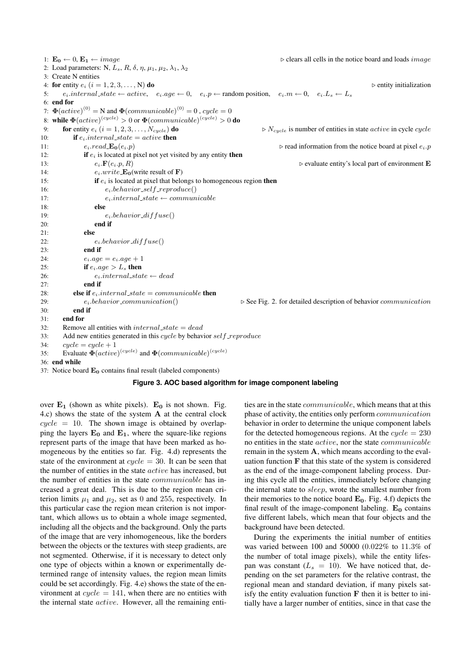1:  $\mathbf{E_0} \leftarrow 0$ ,  $\mathbf{E_1} \leftarrow image$  . clears all cells in the notice board and loads *image* 2: Load parameters: N,  $L_s$ , R,  $\delta$ ,  $\eta$ ,  $\mu_1$ ,  $\mu_2$ ,  $\lambda_1$ ,  $\lambda_2$ 3: Create N entities 4: for entity  $e_i$   $(i = 1, 2, 3, \ldots, N)$  do  $\rightarrow$  entity initialization 5:  $e_i$ :internal\_state ← active,  $e_i$ .age ← 0,  $e_i \cdot p$  ← random position,  $e_i \cdot m$  ← 0,  $e_i \cdot L_s$  ←  $L_s$ 6: end for 7:  $\mathbf{\Phi}(active)^{(0)} = \mathbf{N}$  and  $\mathbf{\Phi}(communicable)^{(0)} = 0$ ,  $cycle = 0$ 8: while  $\mathbf{\Phi}(active)^{(cycle)} > 0$  or  $\mathbf{\Phi}(communicable)^{(cycle)} > 0$  do 9: for entity  $e_i$  (i = 1, 2, 3, ...,  $N_{cycle}$ ) do  $N_{cycle}$  is number of entities in state active in cycle cycle 10: **if**  $e_i$  internal state = active **then** 11:  $e_i.read \cdot \text{Eq}(e_i, p)$  .  $e_i.read \cdot \text{Eq}(e_i, p)$  .  $e_i.read \cdot \text{Eq}(e_i, p)$ 12: **if**  $e_i$  is located at pixel not yet visited by any entity **then** 13:  $e_i \cdot \mathbf{F}(e_i, p, R)$  be evaluate entity's local part of environment **E** 14:  $e_i \cdot write \cdot \mathbf{E}_0(\text{write result of } \mathbf{F})$ 15: **if**  $e_i$  is located at pixel that belongs to homogeneous region then 16:  $e_i.behavior\_self\_reproduce()$ 17:  $e_i.internal\_state \leftarrow communicate$ 18: else 19:  $e_i.behavior\_diffuse()$  $20<sup>o</sup>$  end if  $21 \cdot$  else 22:  $e_i.behavor\_diffuse()$ 23: end if 24:  $e_i \cdot age = e_i \cdot age + 1$ 25: if  $e_i \cdot a q e > L_s$  then 26:  $e_i.internal\_state \leftarrow dead$ 27: end if 28: **else if**  $e_i$ .*internal\_state* = *communicable* **then** 29:  $e_i.behavior_{communication}()$   $\triangleright$  See Fig. 2. for detailed description of behavior communication 30: end if 31: end for 32: Remove all entities with  $internal\_state = dead$ 33: Add new entities generated in this cycle by behavior self-reproduce 34:  $cycle = cycle + 1$ 35: Evaluate  $\Phi(active)^{(cycle)}$  and  $\Phi(communicable)^{(cycle)}$ 36: end while

37: Notice board  $E_0$  contains final result (labeled components)

#### **Figure 3. AOC based algorithm for image component labeling**

over  $E_1$  (shown as white pixels).  $E_0$  is not shown. Fig. 4.c) shows the state of the system A at the central clock  $cycle = 10$ . The shown image is obtained by overlapping the layers  $E_0$  and  $E_1$ , where the square-like regions represent parts of the image that have been marked as homogeneous by the entities so far. Fig. 4.d) represents the state of the environment at  $cycle = 30$ . It can be seen that the number of entities in the state active has increased, but the number of entities in the state communicable has increased a great deal. This is due to the region mean criterion limits  $\mu_1$  and  $\mu_2$ , set as 0 and 255, respectively. In this particular case the region mean criterion is not important, which allows us to obtain a whole image segmented, including all the objects and the background. Only the parts of the image that are very inhomogeneous, like the borders between the objects or the textures with steep gradients, are not segmented. Otherwise, if it is necessary to detect only one type of objects within a known or experimentally determined range of intensity values, the region mean limits could be set accordingly. Fig. 4.e) shows the state of the environment at  $cycle = 141$ , when there are no entities with the internal state *active*. However, all the remaining entities are in the state communicable, which means that at this phase of activity, the entities only perform communication behavior in order to determine the unique component labels for the detected homogeneous regions. At the  $cycle = 230$ no entities in the state active, nor the state communicable remain in the system A, which means according to the evaluation function F that this state of the system is considered as the end of the image-component labeling process. During this cycle all the entities, immediately before changing the internal state to sleep, wrote the smallest number from their memories to the notice board  $E_0$ . Fig. 4.f) depicts the final result of the image-component labeling.  $E_0$  contains five different labels, which mean that four objects and the background have been detected.

During the experiments the initial number of entities was varied between 100 and 50000 (0.022% to 11.3% of the number of total image pixels), while the entity lifespan was constant  $(L_s = 10)$ . We have noticed that, depending on the set parameters for the relative contrast, the regional mean and standard deviation, if many pixels satisfy the entity evaluation function  $\bf{F}$  then it is better to initially have a larger number of entities, since in that case the